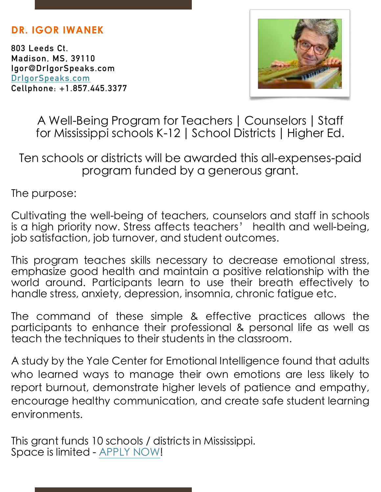## **DR. IGOR IWANEK**

**803 Leeds Ct. Madison, MS, 39110 Igor@DrIgorSpeaks.com [DrIgorSpeaks.com](http://DrIgorSpeaks.com) Cellphone: +1.857.445.3377** 



A Well-Being Program for Teachers | Counselors | Staff for Mississippi schools K-12 | School Districts | Higher Ed.

Ten schools or districts will be awarded this all-expenses-paid program funded by a generous grant.

The purpose:

Cultivating the well-being of teachers, counselors and staff in schools is a high priority now. Stress affects teachers' health and well-being, job satisfaction, job turnover, and student outcomes.

This program teaches skills necessary to decrease emotional stress, emphasize good health and maintain a positive relationship with the world around. Participants learn to use their breath effectively to handle stress, anxiety, depression, insomnia, chronic fatigue etc.

The command of these simple & effective practices allows the participants to enhance their professional & personal life as well as teach the techniques to their students in the classroom.

A study by the Yale Center for Emotional Intelligence found that adults who learned ways to manage their own emotions are less likely to report burnout, demonstrate higher levels of patience and empathy, encourage healthy communication, and create safe student learning environments.

This grant funds 10 schools / districts in Mississippi. Space is limited - [APPLY NOW!](https://forms.gle/7UZGMrvGCFqUWAxK7)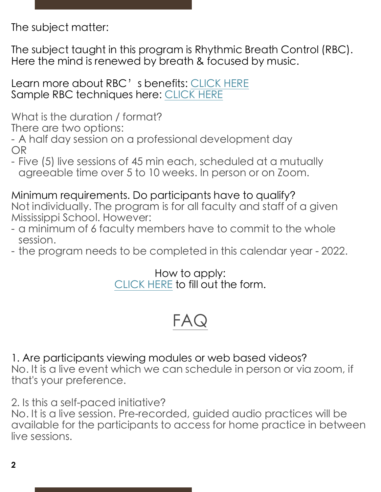The subject matter:

The subject taught in this program is Rhythmic Breath Control (RBC). Here the mind is renewed by breath & focused by music.

Learn more about RBC's benefits: [CLICK HERE](https://www.drigorspeaks.com/) Sample RBC techniques here: [CLICK HERE](https://www.drigorspeaks.com/tryrbc)

What is the duration / format?

There are two options:

- A half day session on a professional development day OR

- Five (5) live sessions of 45 min each, scheduled at a mutually agreeable time over 5 to 10 weeks. In person or on Zoom.

Minimum requirements. Do participants have to qualify? Not individually. The program is for all faculty and staff of a given Mississippi School. However:

- a minimum of 6 faculty members have to commit to the whole session.
- the program needs to be completed in this calendar year 2022.

How to apply: [CLICK HERE](https://forms.gle/7RCvPCTnZq5zqKgd8) to fill out the form.

## FAG

1. Are participants viewing modules or web based videos? No. It is a live event which we can schedule in person or via zoom, if that's your preference.

2. Is this a self-paced initiative?

No. It is a live session. Pre-recorded, guided audio practices will be available for the participants to access for home practice in between live sessions.